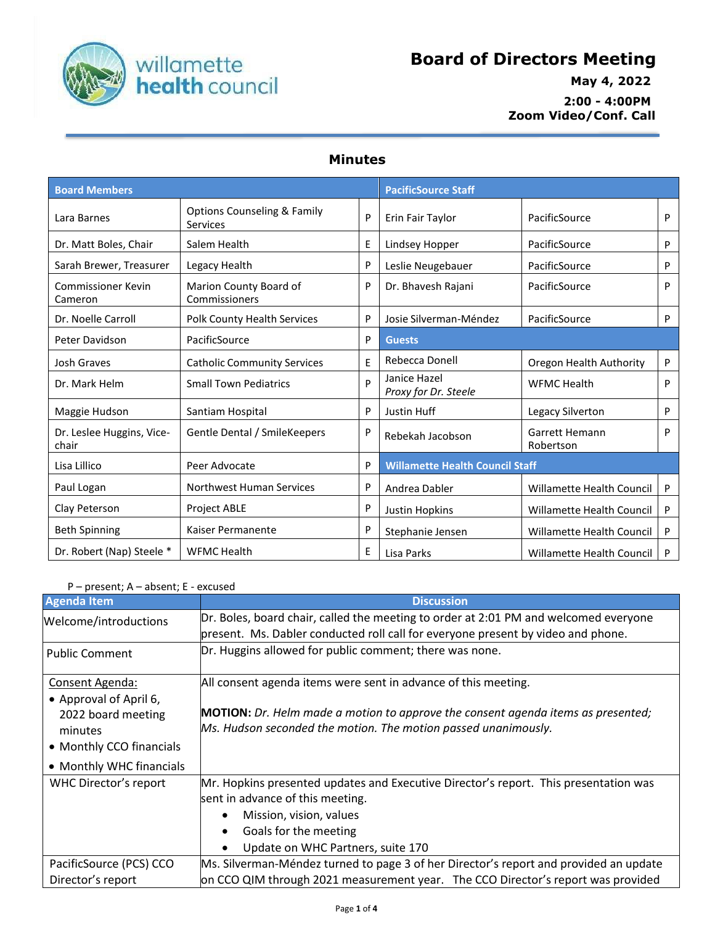

## **Board of Directors Meeting**

 **May 4, 2022 2:00 - 4:00PM Zoom Video/Conf. Call**

## **Minutes**

| <b>Board Members</b>               |                                                           |   | <b>PacificSource Staff</b>             |                                    |   |
|------------------------------------|-----------------------------------------------------------|---|----------------------------------------|------------------------------------|---|
| Lara Barnes                        | <b>Options Counseling &amp; Family</b><br><b>Services</b> | P | Erin Fair Taylor                       | PacificSource                      | P |
| Dr. Matt Boles, Chair              | Salem Health                                              | Ε | Lindsey Hopper                         | PacificSource                      | P |
| Sarah Brewer, Treasurer            | Legacy Health                                             | P | Leslie Neugebauer                      | PacificSource                      | P |
| Commissioner Kevin<br>Cameron      | Marion County Board of<br>Commissioners                   | P | Dr. Bhavesh Rajani                     | PacificSource                      | P |
| Dr. Noelle Carroll                 | Polk County Health Services                               | P | Josie Silverman-Méndez                 | PacificSource                      | P |
| Peter Davidson                     | PacificSource                                             | P | <b>Guests</b>                          |                                    |   |
| <b>Josh Graves</b>                 | <b>Catholic Community Services</b>                        | E | Rebecca Donell                         | Oregon Health Authority            | P |
| Dr. Mark Helm                      | <b>Small Town Pediatrics</b>                              | D | Janice Hazel<br>Proxy for Dr. Steele   | <b>WFMC Health</b>                 | P |
| Maggie Hudson                      | Santiam Hospital                                          | P | Justin Huff                            | Legacy Silverton                   | P |
| Dr. Leslee Huggins, Vice-<br>chair | Gentle Dental / SmileKeepers                              | P | Rebekah Jacobson                       | <b>Garrett Hemann</b><br>Robertson | P |
| Lisa Lillico                       | Peer Advocate                                             | P | <b>Willamette Health Council Staff</b> |                                    |   |
| Paul Logan                         | <b>Northwest Human Services</b>                           | P | Andrea Dabler                          | Willamette Health Council          | P |
| Clay Peterson                      | <b>Project ABLE</b>                                       | P | <b>Justin Hopkins</b>                  | Willamette Health Council          | P |
| <b>Beth Spinning</b>               | Kaiser Permanente                                         | P | Stephanie Jensen                       | Willamette Health Council          | P |
| Dr. Robert (Nap) Steele *          | <b>WFMC Health</b>                                        | Ε | Lisa Parks                             | Willamette Health Council          | P |

## P – present; A – absent; E - excused

| <b>Agenda Item</b>       | <b>Discussion</b>                                                                                                                                                        |
|--------------------------|--------------------------------------------------------------------------------------------------------------------------------------------------------------------------|
| Welcome/introductions    | Dr. Boles, board chair, called the meeting to order at 2:01 PM and welcomed everyone<br>present. Ms. Dabler conducted roll call for everyone present by video and phone. |
| <b>Public Comment</b>    | Dr. Huggins allowed for public comment; there was none.                                                                                                                  |
| Consent Agenda:          | All consent agenda items were sent in advance of this meeting.                                                                                                           |
| • Approval of April 6,   |                                                                                                                                                                          |
| 2022 board meeting       | <b>MOTION:</b> Dr. Helm made a motion to approve the consent agenda items as presented;                                                                                  |
| minutes                  | Ms. Hudson seconded the motion. The motion passed unanimously.                                                                                                           |
| • Monthly CCO financials |                                                                                                                                                                          |
| • Monthly WHC financials |                                                                                                                                                                          |
| WHC Director's report    | Mr. Hopkins presented updates and Executive Director's report. This presentation was                                                                                     |
|                          | sent in advance of this meeting.                                                                                                                                         |
|                          | Mission, vision, values<br>$\bullet$                                                                                                                                     |
|                          | Goals for the meeting<br>$\bullet$                                                                                                                                       |
|                          | Update on WHC Partners, suite 170                                                                                                                                        |
| PacificSource (PCS) CCO  | Ms. Silverman-Méndez turned to page 3 of her Director's report and provided an update                                                                                    |
| Director's report        | on CCO QIM through 2021 measurement year. The CCO Director's report was provided                                                                                         |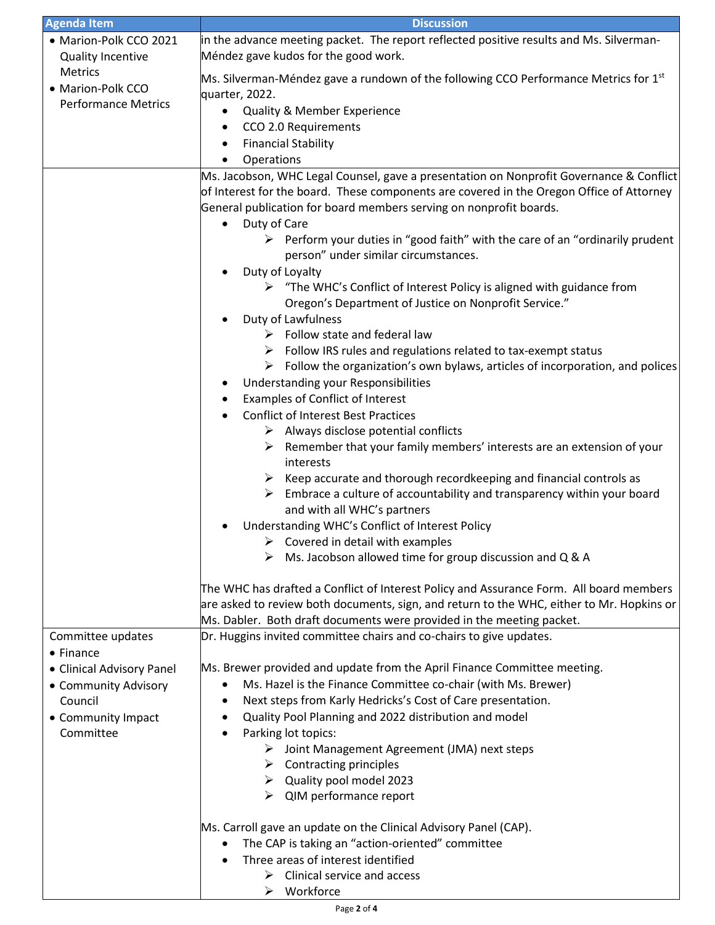| <b>Agenda Item</b>         | <b>Discussion</b>                                                                             |  |
|----------------------------|-----------------------------------------------------------------------------------------------|--|
| • Marion-Polk CCO 2021     | in the advance meeting packet. The report reflected positive results and Ms. Silverman-       |  |
| <b>Quality Incentive</b>   | Méndez gave kudos for the good work.                                                          |  |
| Metrics                    |                                                                                               |  |
| • Marion-Polk CCO          | Ms. Silverman-Méndez gave a rundown of the following CCO Performance Metrics for $1st$        |  |
| <b>Performance Metrics</b> | quarter, 2022.                                                                                |  |
|                            | Quality & Member Experience<br>$\bullet$                                                      |  |
|                            | CCO 2.0 Requirements<br>٠                                                                     |  |
|                            | <b>Financial Stability</b><br>٠                                                               |  |
|                            | Operations<br>$\bullet$                                                                       |  |
|                            | Ms. Jacobson, WHC Legal Counsel, gave a presentation on Nonprofit Governance & Conflict       |  |
|                            | of Interest for the board. These components are covered in the Oregon Office of Attorney      |  |
|                            | General publication for board members serving on nonprofit boards.                            |  |
|                            | Duty of Care                                                                                  |  |
|                            | $\triangleright$ Perform your duties in "good faith" with the care of an "ordinarily prudent" |  |
|                            | person" under similar circumstances.                                                          |  |
|                            | Duty of Loyalty<br>٠                                                                          |  |
|                            | $\triangleright$ "The WHC's Conflict of Interest Policy is aligned with guidance from         |  |
|                            | Oregon's Department of Justice on Nonprofit Service."                                         |  |
|                            | Duty of Lawfulness                                                                            |  |
|                            | $\triangleright$ Follow state and federal law                                                 |  |
|                            | Follow IRS rules and regulations related to tax-exempt status                                 |  |
|                            | Follow the organization's own bylaws, articles of incorporation, and polices<br>➤             |  |
|                            | Understanding your Responsibilities<br>٠                                                      |  |
|                            | Examples of Conflict of Interest<br>٠                                                         |  |
|                            | <b>Conflict of Interest Best Practices</b>                                                    |  |
|                            | $\triangleright$ Always disclose potential conflicts                                          |  |
|                            | Remember that your family members' interests are an extension of your                         |  |
|                            | interests                                                                                     |  |
|                            | Keep accurate and thorough recordkeeping and financial controls as<br>➤                       |  |
|                            | Embrace a culture of accountability and transparency within your board<br>➤                   |  |
|                            | and with all WHC's partners                                                                   |  |
|                            | Understanding WHC's Conflict of Interest Policy                                               |  |
|                            | $\triangleright$ Covered in detail with examples                                              |  |
|                            | Ms. Jacobson allowed time for group discussion and Q & A<br>➤                                 |  |
|                            |                                                                                               |  |
|                            | The WHC has drafted a Conflict of Interest Policy and Assurance Form. All board members       |  |
|                            | are asked to review both documents, sign, and return to the WHC, either to Mr. Hopkins or     |  |
|                            | Ms. Dabler. Both draft documents were provided in the meeting packet.                         |  |
| Committee updates          | Dr. Huggins invited committee chairs and co-chairs to give updates.                           |  |
| $\bullet$ Finance          |                                                                                               |  |
| • Clinical Advisory Panel  | Ms. Brewer provided and update from the April Finance Committee meeting.                      |  |
| • Community Advisory       | Ms. Hazel is the Finance Committee co-chair (with Ms. Brewer)<br>٠                            |  |
| Council                    | Next steps from Karly Hedricks's Cost of Care presentation.<br>٠                              |  |
| • Community Impact         | Quality Pool Planning and 2022 distribution and model<br>٠                                    |  |
| Committee                  | Parking lot topics:<br>٠                                                                      |  |
|                            | > Joint Management Agreement (JMA) next steps                                                 |  |
|                            | <b>Contracting principles</b><br>➤                                                            |  |
|                            | $\triangleright$ Quality pool model 2023                                                      |  |
|                            | QIM performance report<br>➤                                                                   |  |
|                            |                                                                                               |  |
|                            | Ms. Carroll gave an update on the Clinical Advisory Panel (CAP).                              |  |
|                            | The CAP is taking an "action-oriented" committee                                              |  |
|                            | Three areas of interest identified<br>$\bullet$                                               |  |
|                            | Clinical service and access<br>➤                                                              |  |
|                            | Workforce<br>➤                                                                                |  |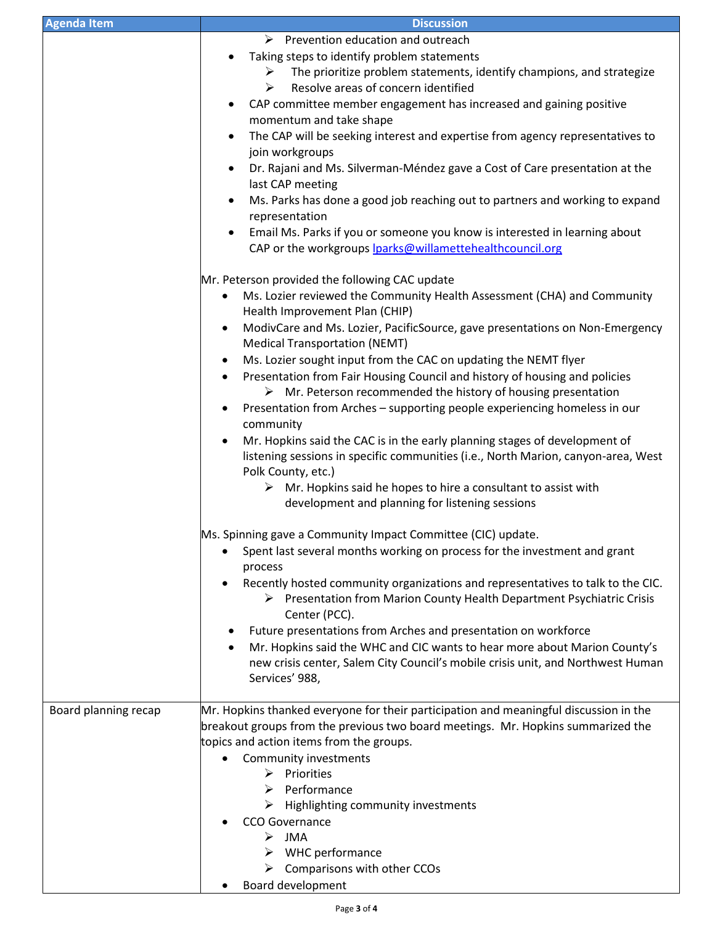| <b>Agenda Item</b>   | <b>Discussion</b>                                                                                                                                                                                                                                                                                                                                                                                                                                                                                                                                                                                                                                                                                                                                                                                                                                                                                                                                                                              |  |
|----------------------|------------------------------------------------------------------------------------------------------------------------------------------------------------------------------------------------------------------------------------------------------------------------------------------------------------------------------------------------------------------------------------------------------------------------------------------------------------------------------------------------------------------------------------------------------------------------------------------------------------------------------------------------------------------------------------------------------------------------------------------------------------------------------------------------------------------------------------------------------------------------------------------------------------------------------------------------------------------------------------------------|--|
|                      | $\triangleright$ Prevention education and outreach<br>Taking steps to identify problem statements<br>The prioritize problem statements, identify champions, and strategize<br>➤<br>Resolve areas of concern identified<br>➤<br>CAP committee member engagement has increased and gaining positive<br>$\bullet$<br>momentum and take shape<br>The CAP will be seeking interest and expertise from agency representatives to<br>$\bullet$<br>join workgroups<br>Dr. Rajani and Ms. Silverman-Méndez gave a Cost of Care presentation at the<br>$\bullet$<br>last CAP meeting<br>Ms. Parks has done a good job reaching out to partners and working to expand<br>$\bullet$<br>representation<br>Email Ms. Parks if you or someone you know is interested in learning about<br>٠<br>CAP or the workgroups lparks@willamettehealthcouncil.org                                                                                                                                                       |  |
|                      | Mr. Peterson provided the following CAC update<br>Ms. Lozier reviewed the Community Health Assessment (CHA) and Community<br>$\bullet$<br>Health Improvement Plan (CHIP)<br>ModivCare and Ms. Lozier, PacificSource, gave presentations on Non-Emergency<br>$\bullet$<br><b>Medical Transportation (NEMT)</b><br>Ms. Lozier sought input from the CAC on updating the NEMT flyer<br>٠<br>Presentation from Fair Housing Council and history of housing and policies<br>$\bullet$<br>$\triangleright$ Mr. Peterson recommended the history of housing presentation<br>Presentation from Arches - supporting people experiencing homeless in our<br>٠<br>community<br>Mr. Hopkins said the CAC is in the early planning stages of development of<br>listening sessions in specific communities (i.e., North Marion, canyon-area, West<br>Polk County, etc.)<br>$\triangleright$ Mr. Hopkins said he hopes to hire a consultant to assist with<br>development and planning for listening sessions |  |
|                      | Ms. Spinning gave a Community Impact Committee (CIC) update.<br>Spent last several months working on process for the investment and grant<br>process<br>Recently hosted community organizations and representatives to talk to the CIC.<br>> Presentation from Marion County Health Department Psychiatric Crisis<br>Center (PCC).<br>Future presentations from Arches and presentation on workforce<br>Mr. Hopkins said the WHC and CIC wants to hear more about Marion County's<br>٠<br>new crisis center, Salem City Council's mobile crisis unit, and Northwest Human<br>Services' 988,                                                                                                                                                                                                                                                                                                                                                                                                    |  |
| Board planning recap | Mr. Hopkins thanked everyone for their participation and meaningful discussion in the<br>breakout groups from the previous two board meetings. Mr. Hopkins summarized the<br>topics and action items from the groups.<br>Community investments<br>$\triangleright$ Priorities<br>$\triangleright$ Performance<br>$\triangleright$ Highlighting community investments<br><b>CCO Governance</b><br>$>$ JMA<br>$\triangleright$ WHC performance<br>$\triangleright$ Comparisons with other CCOs<br>Board development                                                                                                                                                                                                                                                                                                                                                                                                                                                                              |  |